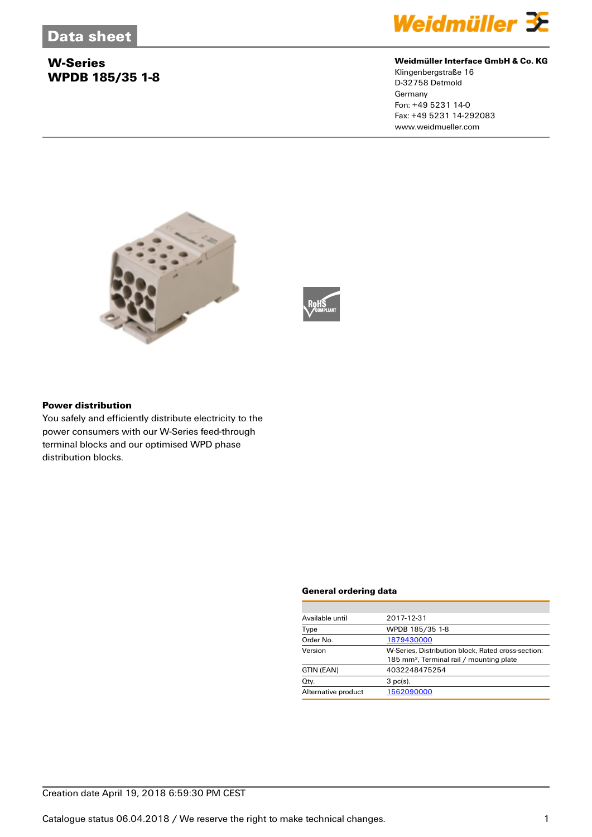# **W-Series WPDB 185/35 1-8**



## **Weidmüller Interface GmbH & Co. KG**

Klingenbergstraße 16 D-32758 Detmold **Germany** Fon: +49 5231 14-0 Fax: +49 5231 14-292083 www.weidmueller.com





#### **Power distribution**

You safely and efficiently distribute electricity to the power consumers with our W-Series feed-through terminal blocks and our optimised WPD phase distribution blocks.

#### **General ordering data**

| Available until     | 2017-12-31                                                                                                 |  |  |
|---------------------|------------------------------------------------------------------------------------------------------------|--|--|
| Type                | WPDB 185/35 1-8                                                                                            |  |  |
| Order No.           | 1879430000                                                                                                 |  |  |
| Version             | W-Series, Distribution block, Rated cross-section:<br>185 mm <sup>2</sup> , Terminal rail / mounting plate |  |  |
| GTIN (EAN)          | 4032248475254                                                                                              |  |  |
| Qty.                | $3$ pc(s).                                                                                                 |  |  |
| Alternative product | 1562090000                                                                                                 |  |  |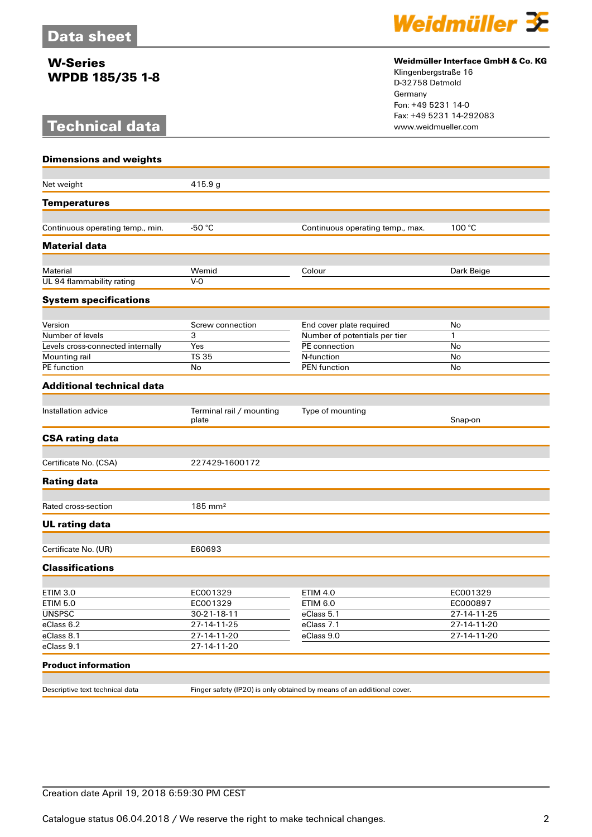# **W-Series WPDB 185/35 1-8**

# **Technical data**



## **Weidmüller Interface GmbH & Co. KG**

Klingenbergstraße 16 D-32758 Detmold Germany Fon: +49 5231 14-0 Fax: +49 5231 14-292083

| <b>Dimensions and weights</b>         |                                   |                                                                        |              |  |
|---------------------------------------|-----------------------------------|------------------------------------------------------------------------|--------------|--|
| Net weight                            | 415.9 g                           |                                                                        |              |  |
|                                       |                                   |                                                                        |              |  |
| <b>Temperatures</b>                   |                                   |                                                                        |              |  |
| Continuous operating temp., min.      | -50 $\degree$ C                   | Continuous operating temp., max.                                       | 100 °C       |  |
| <b>Material data</b>                  |                                   |                                                                        |              |  |
|                                       |                                   |                                                                        |              |  |
| Material<br>UL 94 flammability rating | Wemid<br>$V-0$                    | Colour                                                                 | Dark Beige   |  |
|                                       |                                   |                                                                        |              |  |
| <b>System specifications</b>          |                                   |                                                                        |              |  |
| Version                               | Screw connection                  | End cover plate required                                               | No           |  |
| Number of levels                      | 3                                 | Number of potentials per tier                                          | $\mathbf{1}$ |  |
| Levels cross-connected internally     | Yes                               | PE connection                                                          | No           |  |
| Mounting rail                         | <b>TS 35</b>                      | N-function                                                             | No           |  |
| <b>PE</b> function                    | No                                | <b>PEN</b> function                                                    | No           |  |
| <b>Additional technical data</b>      |                                   |                                                                        |              |  |
|                                       |                                   |                                                                        |              |  |
| Installation advice                   | Terminal rail / mounting<br>plate | Type of mounting                                                       | Snap-on      |  |
| <b>CSA rating data</b>                |                                   |                                                                        |              |  |
| Certificate No. (CSA)                 | 227429-1600172                    |                                                                        |              |  |
|                                       |                                   |                                                                        |              |  |
| <b>Rating data</b>                    |                                   |                                                                        |              |  |
| Rated cross-section                   | $185$ mm <sup>2</sup>             |                                                                        |              |  |
| <b>UL rating data</b>                 |                                   |                                                                        |              |  |
|                                       |                                   |                                                                        |              |  |
| Certificate No. (UR)                  | E60693                            |                                                                        |              |  |
| <b>Classifications</b>                |                                   |                                                                        |              |  |
|                                       | EC001329                          | <b>ETIM 4.0</b>                                                        | EC001329     |  |
| <b>ETIM 3.0</b><br><b>ETIM 5.0</b>    | EC001329                          | <b>ETIM 6.0</b>                                                        | EC000897     |  |
| <b>UNSPSC</b>                         | 30-21-18-11                       | eClass 5.1                                                             | 27-14-11-25  |  |
| eClass 6.2                            | 27-14-11-25                       | eClass 7.1                                                             | 27-14-11-20  |  |
| eClass 8.1                            | 27-14-11-20                       | eClass 9.0                                                             | 27-14-11-20  |  |
| eClass 9.1                            | 27-14-11-20                       |                                                                        |              |  |
|                                       |                                   |                                                                        |              |  |
| <b>Product information</b>            |                                   |                                                                        |              |  |
| Descriptive text technical data       |                                   | Finger safety (IP20) is only obtained by means of an additional cover. |              |  |
|                                       |                                   |                                                                        |              |  |